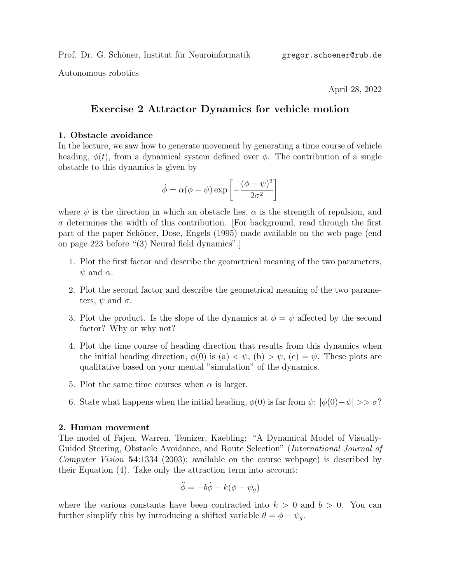Autonomous robotics

April 28, 2022

## Exercise 2 Attractor Dynamics for vehicle motion

## 1. Obstacle avoidance

In the lecture, we saw how to generate movement by generating a time course of vehicle heading,  $\phi(t)$ , from a dynamical system defined over  $\phi$ . The contribution of a single obstacle to this dynamics is given by

$$
\dot{\phi} = \alpha(\phi - \psi) \exp\left[ -\frac{(\phi - \psi)^2}{2\sigma^2} \right]
$$

where  $\psi$  is the direction in which an obstacle lies,  $\alpha$  is the strength of repulsion, and  $\sigma$  determines the width of this contribution. [For background, read through the first part of the paper Schöner, Dose, Engels (1995) made available on the web page (end on page 223 before "(3) Neural field dynamics".]

- 1. Plot the first factor and describe the geometrical meaning of the two parameters,  $\psi$  and  $\alpha$ .
- 2. Plot the second factor and describe the geometrical meaning of the two parameters,  $\psi$  and  $\sigma$ .
- 3. Plot the product. Is the slope of the dynamics at  $\phi = \psi$  affected by the second factor? Why or why not?
- 4. Plot the time course of heading direction that results from this dynamics when the initial heading direction,  $\phi(0)$  is (a)  $\lt \psi$ , (b)  $> \psi$ , (c)  $= \psi$ . These plots are qualitative based on your mental "simulation" of the dynamics.
- 5. Plot the same time courses when  $\alpha$  is larger.
- 6. State what happens when the initial heading,  $\phi(0)$  is far from  $\psi: |\phi(0)-\psi| >> \sigma$ ?

## 2. Human movement

The model of Fajen, Warren, Temizer, Kaebling: "A Dynamical Model of Visually-Guided Steering, Obstacle Avoidance, and Route Selection" (*International Journal of* Computer Vision 54:1334 (2003); available on the course webpage) is described by their Equation (4). Take only the attraction term into account:

$$
\ddot{\phi} = -b\dot{\phi} - k(\phi - \psi_g)
$$

where the various constants have been contracted into  $k > 0$  and  $b > 0$ . You can further simplify this by introducing a shifted variable  $\theta = \phi - \psi_g$ .